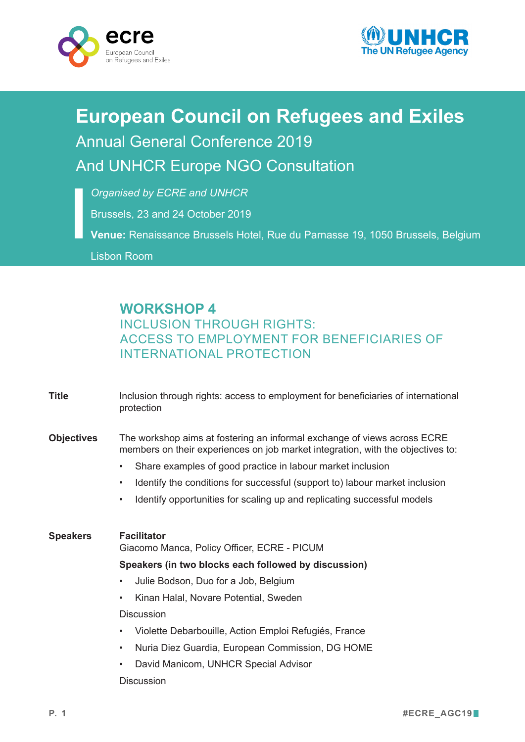



# **European Council on Refugees and Exiles** Annual General Conference 2019 And UNHCR Europe NGO Consultation

*Organised by ECRE and UNHCR*

Brussels, 23 and 24 October 2019

**Venue:** Renaissance Brussels Hotel, Rue du Parnasse 19, 1050 Brussels, Belgium

Lisbon Room

## **WORKSHOP 4**

### INCLUSION THROUGH RIGHTS: ACCESS TO EMPLOYMENT FOR BENEFICIARIES OF INTERNATIONAL PROTECTION

| <b>Title</b>      | Inclusion through rights: access to employment for beneficiaries of international<br>protection                                                                                                                                                                                                                                                                                                                                            |
|-------------------|--------------------------------------------------------------------------------------------------------------------------------------------------------------------------------------------------------------------------------------------------------------------------------------------------------------------------------------------------------------------------------------------------------------------------------------------|
| <b>Objectives</b> | The workshop aims at fostering an informal exchange of views across ECRE<br>members on their experiences on job market integration, with the objectives to:<br>Share examples of good practice in labour market inclusion<br>$\bullet$<br>Identify the conditions for successful (support to) labour market inclusion<br>$\bullet$<br>Identify opportunities for scaling up and replicating successful models<br>$\bullet$                 |
| <b>Speakers</b>   | <b>Facilitator</b><br>Giacomo Manca, Policy Officer, ECRE - PICUM<br>Speakers (in two blocks each followed by discussion)<br>Julie Bodson, Duo for a Job, Belgium<br>$\bullet$<br>Kinan Halal, Novare Potential, Sweden<br>$\bullet$<br><b>Discussion</b><br>Violette Debarbouille, Action Emploi Refugiés, France<br>$\bullet$<br>Nuria Diez Guardia, European Commission, DG HOME<br>$\bullet$<br>• David Manicom LINHCR Special Advisor |

• David Manicom, UNHCR Special Advisor

**Discussion**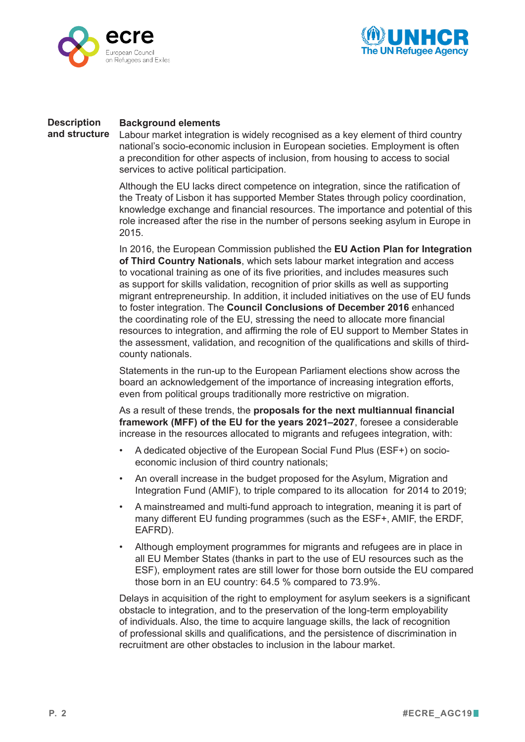



#### **Background elements Description and structure**

Labour market integration is widely recognised as a key element of third country national's socio-economic inclusion in European societies. Employment is often a precondition for other aspects of inclusion, from housing to access to social services to active political participation.

Although the EU lacks direct competence on integration, since the ratification of the Treaty of Lisbon it has supported Member States through policy coordination, knowledge exchange and financial resources. The importance and potential of this role increased after the rise in the number of persons seeking asylum in Europe in 2015.

In 2016, the European Commission published the **EU Action Plan for Integration of Third Country Nationals**, which sets labour market integration and access to vocational training as one of its five priorities, and includes measures such as support for skills validation, recognition of prior skills as well as supporting migrant entrepreneurship. In addition, it included initiatives on the use of EU funds to foster integration. The **Council Conclusions of December 2016** enhanced the coordinating role of the EU, stressing the need to allocate more financial resources to integration, and affirming the role of EU support to Member States in the assessment, validation, and recognition of the qualifications and skills of thirdcounty nationals.

Statements in the run-up to the European Parliament elections show across the board an acknowledgement of the importance of increasing integration efforts, even from political groups traditionally more restrictive on migration.

As a result of these trends, the **proposals for the next multiannual financial framework (MFF) of the EU for the years 2021–2027**, foresee a considerable increase in the resources allocated to migrants and refugees integration, with:

- A dedicated objective of the European Social Fund Plus (ESF+) on socioeconomic inclusion of third country nationals;
- An overall increase in the budget proposed for the Asylum, Migration and Integration Fund (AMIF), to triple compared to its allocation for 2014 to 2019;
- A mainstreamed and multi-fund approach to integration, meaning it is part of many different EU funding programmes (such as the ESF+, AMIF, the ERDF, EAFRD).
- Although employment programmes for migrants and refugees are in place in all EU Member States (thanks in part to the use of EU resources such as the ESF), employment rates are still lower for those born outside the EU compared those born in an EU country: 64.5 % compared to 73.9%.

Delays in acquisition of the right to employment for asylum seekers is a significant obstacle to integration, and to the preservation of the long-term employability of individuals. Also, the time to acquire language skills, the lack of recognition of professional skills and qualifications, and the persistence of discrimination in recruitment are other obstacles to inclusion in the labour market.